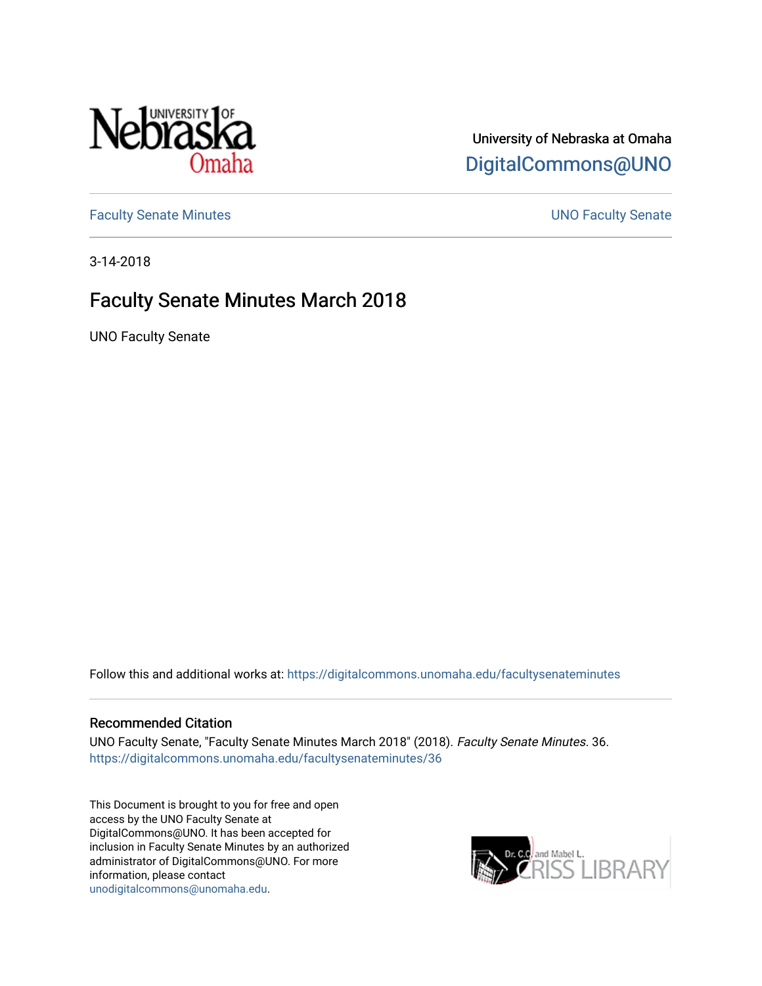

## University of Nebraska at Omaha [DigitalCommons@UNO](https://digitalcommons.unomaha.edu/)

[Faculty Senate Minutes](https://digitalcommons.unomaha.edu/facultysenateminutes) **Example 2018** UNO Faculty Senate

3-14-2018

# Faculty Senate Minutes March 2018

UNO Faculty Senate

Follow this and additional works at: [https://digitalcommons.unomaha.edu/facultysenateminutes](https://digitalcommons.unomaha.edu/facultysenateminutes?utm_source=digitalcommons.unomaha.edu%2Ffacultysenateminutes%2F36&utm_medium=PDF&utm_campaign=PDFCoverPages) 

#### Recommended Citation

UNO Faculty Senate, "Faculty Senate Minutes March 2018" (2018). Faculty Senate Minutes. 36. [https://digitalcommons.unomaha.edu/facultysenateminutes/36](https://digitalcommons.unomaha.edu/facultysenateminutes/36?utm_source=digitalcommons.unomaha.edu%2Ffacultysenateminutes%2F36&utm_medium=PDF&utm_campaign=PDFCoverPages) 

This Document is brought to you for free and open access by the UNO Faculty Senate at DigitalCommons@UNO. It has been accepted for inclusion in Faculty Senate Minutes by an authorized administrator of DigitalCommons@UNO. For more information, please contact [unodigitalcommons@unomaha.edu.](mailto:unodigitalcommons@unomaha.edu)

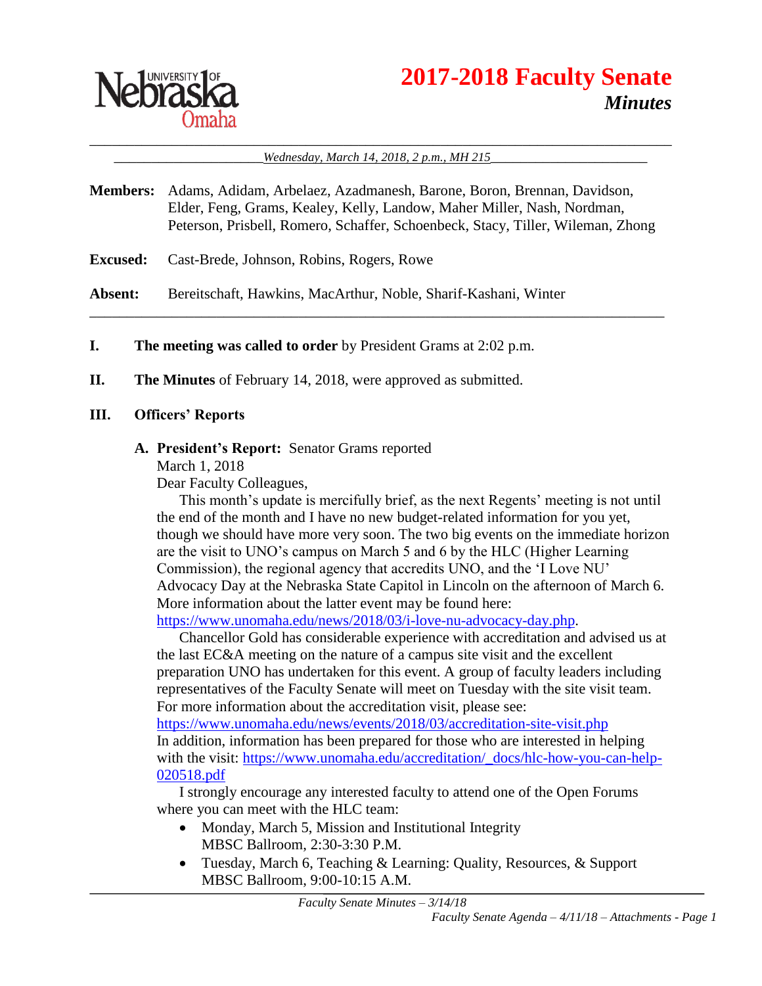

#### \_\_\_\_\_\_\_\_\_\_\_\_\_\_\_\_\_\_\_\_\_\_\_\_\_\_\_\_\_\_\_\_\_\_\_\_\_\_\_\_\_\_\_\_\_\_\_\_\_\_\_\_\_\_\_\_\_\_\_\_\_\_\_\_\_\_\_\_\_\_\_\_\_\_\_\_\_\_ Wednesday, March 14, 2018, 2 p.m., MH 215

**Members:** Adams, Adidam, Arbelaez, Azadmanesh, Barone, Boron, Brennan, Davidson, Elder, Feng, Grams, Kealey, Kelly, Landow, Maher Miller, Nash, Nordman, Peterson, Prisbell, Romero, Schaffer, Schoenbeck, Stacy, Tiller, Wileman, Zhong

\_\_\_\_\_\_\_\_\_\_\_\_\_\_\_\_\_\_\_\_\_\_\_\_\_\_\_\_\_\_\_\_\_\_\_\_\_\_\_\_\_\_\_\_\_\_\_\_\_\_\_\_\_\_\_\_\_\_\_\_\_\_\_\_\_\_\_\_\_\_\_\_\_\_\_\_\_

**Excused:** Cast-Brede, Johnson, Robins, Rogers, Rowe

**Absent:** Bereitschaft, Hawkins, MacArthur, Noble, Sharif-Kashani, Winter

- **I. The meeting was called to order** by President Grams at 2:02 p.m.
- **II. The Minutes** of February 14, 2018, were approved as submitted.

#### **III. Officers' Reports**

#### **A. President's Report:** Senator Grams reported

March 1, 2018

Dear Faculty Colleagues,

This month's update is mercifully brief, as the next Regents' meeting is not until the end of the month and I have no new budget-related information for you yet, though we should have more very soon. The two big events on the immediate horizon are the visit to UNO's campus on March 5 and 6 by the HLC (Higher Learning Commission), the regional agency that accredits UNO, and the 'I Love NU' Advocacy Day at the Nebraska State Capitol in Lincoln on the afternoon of March 6. More information about the latter event may be found here:

[https://www.unomaha.edu/news/2018/03/i-love-nu-advocacy-day.php.](https://www.unomaha.edu/news/2018/03/i-love-nu-advocacy-day.php)

Chancellor Gold has considerable experience with accreditation and advised us at the last EC&A meeting on the nature of a campus site visit and the excellent preparation UNO has undertaken for this event. A group of faculty leaders including representatives of the Faculty Senate will meet on Tuesday with the site visit team. For more information about the accreditation visit, please see:

<https://www.unomaha.edu/news/events/2018/03/accreditation-site-visit.php> In addition, information has been prepared for those who are interested in helping with the visit: [https://www.unomaha.edu/accreditation/\\_docs/hlc-how-you-can-help-](https://www.unomaha.edu/accreditation/_docs/hlc-how-you-can-help-020518.pdf)[020518.pdf](https://www.unomaha.edu/accreditation/_docs/hlc-how-you-can-help-020518.pdf)

I strongly encourage any interested faculty to attend one of the Open Forums where you can meet with the HLC team:

- Monday, March 5, Mission and Institutional Integrity MBSC Ballroom, 2:30-3:30 P.M.
- Tuesday, March 6, Teaching & Learning: Quality, Resources, & Support MBSC Ballroom, 9:00-10:15 A.M.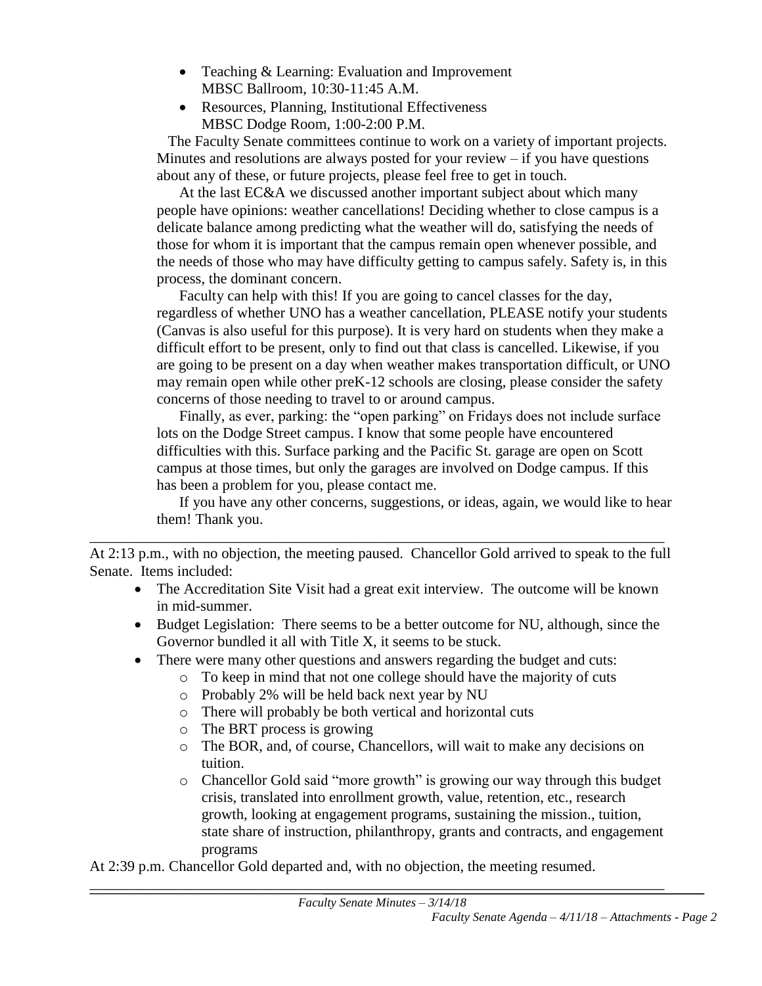- Teaching & Learning: Evaluation and Improvement MBSC Ballroom, 10:30-11:45 A.M.
- Resources, Planning, Institutional Effectiveness MBSC Dodge Room, 1:00-2:00 P.M.

 The Faculty Senate committees continue to work on a variety of important projects. Minutes and resolutions are always posted for your review  $-$  if you have questions about any of these, or future projects, please feel free to get in touch.

At the last EC&A we discussed another important subject about which many people have opinions: weather cancellations! Deciding whether to close campus is a delicate balance among predicting what the weather will do, satisfying the needs of those for whom it is important that the campus remain open whenever possible, and the needs of those who may have difficulty getting to campus safely. Safety is, in this process, the dominant concern.

Faculty can help with this! If you are going to cancel classes for the day, regardless of whether UNO has a weather cancellation, PLEASE notify your students (Canvas is also useful for this purpose). It is very hard on students when they make a difficult effort to be present, only to find out that class is cancelled. Likewise, if you are going to be present on a day when weather makes transportation difficult, or UNO may remain open while other preK-12 schools are closing, please consider the safety concerns of those needing to travel to or around campus.

Finally, as ever, parking: the "open parking" on Fridays does not include surface lots on the Dodge Street campus. I know that some people have encountered difficulties with this. Surface parking and the Pacific St. garage are open on Scott campus at those times, but only the garages are involved on Dodge campus. If this has been a problem for you, please contact me.

If you have any other concerns, suggestions, or ideas, again, we would like to hear them! Thank you.

At 2:13 p.m., with no objection, the meeting paused. Chancellor Gold arrived to speak to the full Senate. Items included:

\_\_\_\_\_\_\_\_\_\_\_\_\_\_\_\_\_\_\_\_\_\_\_\_\_\_\_\_\_\_\_\_\_\_\_\_\_\_\_\_\_\_\_\_\_\_\_\_\_\_\_\_\_\_\_\_\_\_\_\_\_\_\_\_\_\_\_\_\_\_\_\_\_\_\_\_\_

- The Accreditation Site Visit had a great exit interview. The outcome will be known in mid-summer.
- Budget Legislation: There seems to be a better outcome for NU, although, since the Governor bundled it all with Title X, it seems to be stuck.
- There were many other questions and answers regarding the budget and cuts:
	- o To keep in mind that not one college should have the majority of cuts
	- o Probably 2% will be held back next year by NU
	- o There will probably be both vertical and horizontal cuts
	- o The BRT process is growing
	- o The BOR, and, of course, Chancellors, will wait to make any decisions on tuition.
	- o Chancellor Gold said "more growth" is growing our way through this budget crisis, translated into enrollment growth, value, retention, etc., research growth, looking at engagement programs, sustaining the mission., tuition, state share of instruction, philanthropy, grants and contracts, and engagement programs

At 2:39 p.m. Chancellor Gold departed and, with no objection, the meeting resumed.

\_\_\_\_\_\_\_\_\_\_\_\_\_\_\_\_\_\_\_\_\_\_\_\_\_\_\_\_\_\_\_\_\_\_\_\_\_\_\_\_\_\_\_\_\_\_\_\_\_\_\_\_\_\_\_\_\_\_\_\_\_\_\_\_\_\_\_\_\_\_\_\_\_\_\_\_\_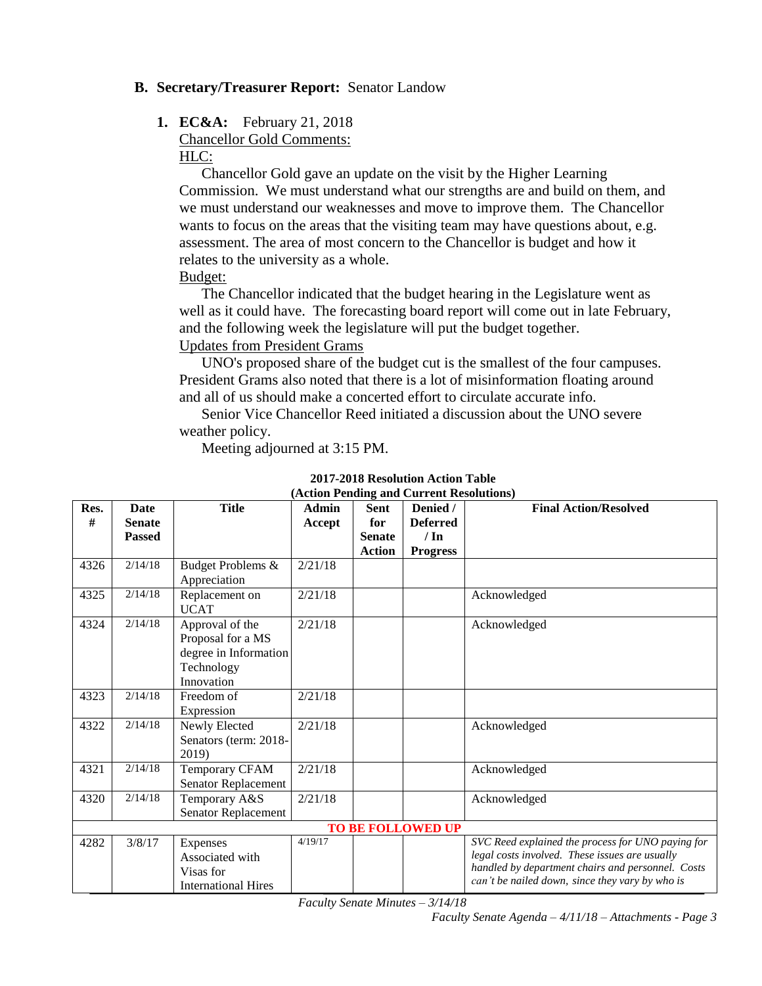#### **B. Secretary/Treasurer Report:** Senator Landow

#### **1. EC&A:** February 21, 2018

Chancellor Gold Comments: HLC:

Chancellor Gold gave an update on the visit by the Higher Learning Commission. We must understand what our strengths are and build on them, and we must understand our weaknesses and move to improve them. The Chancellor wants to focus on the areas that the visiting team may have questions about, e.g. assessment. The area of most concern to the Chancellor is budget and how it relates to the university as a whole. Budget:

The Chancellor indicated that the budget hearing in the Legislature went as well as it could have. The forecasting board report will come out in late February, and the following week the legislature will put the budget together. Updates from President Grams

UNO's proposed share of the budget cut is the smallest of the four campuses. President Grams also noted that there is a lot of misinformation floating around and all of us should make a concerted effort to circulate accurate info.

Senior Vice Chancellor Reed initiated a discussion about the UNO severe weather policy.

Meeting adjourned at 3:15 PM.

| Res. | <b>Date</b>   | <b>Title</b>               | Admin   | <b>Sent</b>   | $(1.00011)$ chung and carrent resolutions<br>Denied / | <b>Final Action/Resolved</b>                      |
|------|---------------|----------------------------|---------|---------------|-------------------------------------------------------|---------------------------------------------------|
| #    | <b>Senate</b> |                            | Accept  | for           | <b>Deferred</b>                                       |                                                   |
|      | <b>Passed</b> |                            |         | <b>Senate</b> | $/ \ln$                                               |                                                   |
|      |               |                            |         | <b>Action</b> | <b>Progress</b>                                       |                                                   |
| 4326 | 2/14/18       | Budget Problems &          | 2/21/18 |               |                                                       |                                                   |
|      |               | Appreciation               |         |               |                                                       |                                                   |
| 4325 | 2/14/18       | Replacement on             | 2/21/18 |               |                                                       | Acknowledged                                      |
|      |               | <b>UCAT</b>                |         |               |                                                       |                                                   |
| 4324 | 2/14/18       | Approval of the            | 2/21/18 |               |                                                       | Acknowledged                                      |
|      |               | Proposal for a MS          |         |               |                                                       |                                                   |
|      |               | degree in Information      |         |               |                                                       |                                                   |
|      |               | Technology                 |         |               |                                                       |                                                   |
|      |               | Innovation                 |         |               |                                                       |                                                   |
| 4323 | 2/14/18       | Freedom of                 | 2/21/18 |               |                                                       |                                                   |
|      |               | Expression                 |         |               |                                                       |                                                   |
| 4322 | 2/14/18       | Newly Elected              | 2/21/18 |               |                                                       | Acknowledged                                      |
|      |               | Senators (term: 2018-      |         |               |                                                       |                                                   |
|      |               | 2019)                      |         |               |                                                       |                                                   |
| 4321 | 2/14/18       | Temporary CFAM             | 2/21/18 |               |                                                       | Acknowledged                                      |
|      |               | Senator Replacement        |         |               |                                                       |                                                   |
| 4320 | 2/14/18       | Temporary A&S              | 2/21/18 |               |                                                       | Acknowledged                                      |
|      |               | <b>Senator Replacement</b> |         |               |                                                       |                                                   |
|      |               |                            |         |               | <b>TO BE FOLLOWED UP</b>                              |                                                   |
| 4282 | 3/8/17        | Expenses                   | 4/19/17 |               |                                                       | SVC Reed explained the process for UNO paying for |
|      |               | Associated with            |         |               |                                                       | legal costs involved. These issues are usually    |
|      |               | Visas for                  |         |               |                                                       | handled by department chairs and personnel. Costs |
|      |               | <b>International Hires</b> |         |               |                                                       | can't be nailed down, since they vary by who is   |

#### **2017-2018 Resolution Action Table (Action Pending and Current Resolutions)**

*Faculty Senate Minutes – 3/14/18*

*Faculty Senate Agenda – 4/11/18 – Attachments - Page 3*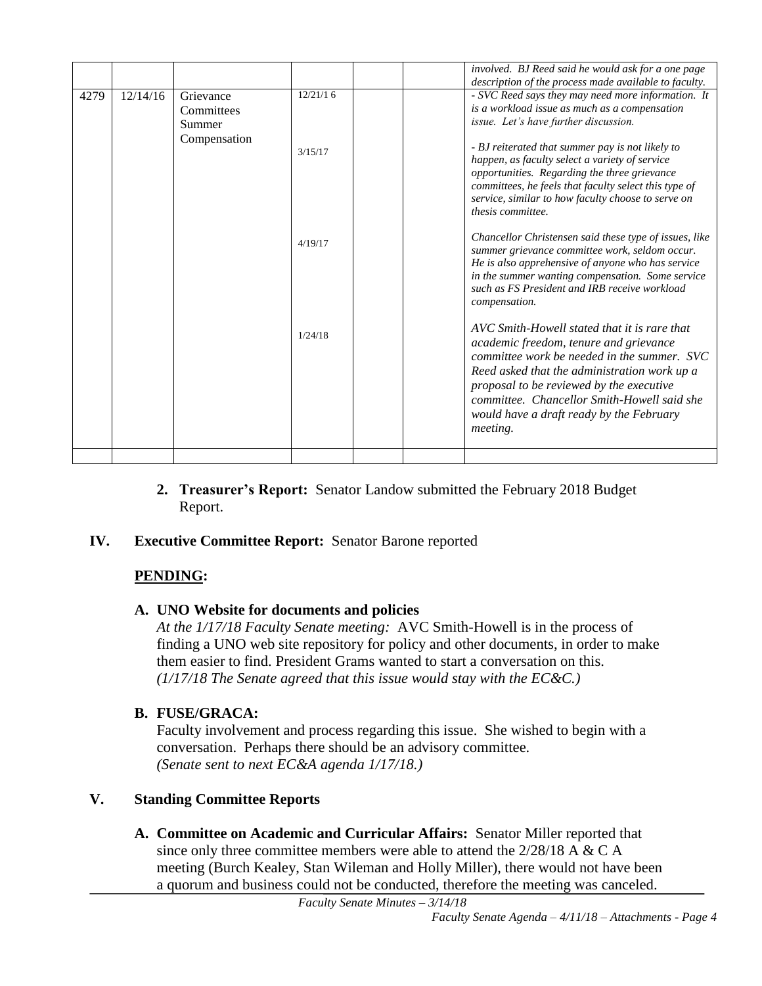|      |          |              |          |  | involved. BJ Reed said he would ask for a one page                                                          |
|------|----------|--------------|----------|--|-------------------------------------------------------------------------------------------------------------|
|      |          |              | 12/21/16 |  | description of the process made available to faculty.                                                       |
| 4279 | 12/14/16 | Grievance    |          |  | - SVC Reed says they may need more information. It                                                          |
|      |          | Committees   |          |  | is a workload issue as much as a compensation                                                               |
|      |          | Summer       |          |  | issue. Let's have further discussion.                                                                       |
|      |          | Compensation |          |  |                                                                                                             |
|      |          |              | 3/15/17  |  | - BJ reiterated that summer pay is not likely to                                                            |
|      |          |              |          |  | happen, as faculty select a variety of service                                                              |
|      |          |              |          |  | opportunities. Regarding the three grievance                                                                |
|      |          |              |          |  | committees, he feels that faculty select this type of<br>service, similar to how faculty choose to serve on |
|      |          |              |          |  | thesis committee.                                                                                           |
|      |          |              |          |  |                                                                                                             |
|      |          |              |          |  | Chancellor Christensen said these type of issues, like                                                      |
|      |          |              | 4/19/17  |  | summer grievance committee work, seldom occur.                                                              |
|      |          |              |          |  | He is also apprehensive of anyone who has service                                                           |
|      |          |              |          |  | in the summer wanting compensation. Some service                                                            |
|      |          |              |          |  | such as FS President and IRB receive workload                                                               |
|      |          |              |          |  | compensation.                                                                                               |
|      |          |              |          |  |                                                                                                             |
|      |          |              |          |  | AVC Smith-Howell stated that it is rare that                                                                |
|      |          |              | 1/24/18  |  | academic freedom, tenure and grievance                                                                      |
|      |          |              |          |  | committee work be needed in the summer. SVC                                                                 |
|      |          |              |          |  | Reed asked that the administration work up a                                                                |
|      |          |              |          |  | proposal to be reviewed by the executive                                                                    |
|      |          |              |          |  |                                                                                                             |
|      |          |              |          |  | committee. Chancellor Smith-Howell said she                                                                 |
|      |          |              |          |  | would have a draft ready by the February                                                                    |
|      |          |              |          |  | <i>meeting.</i>                                                                                             |
|      |          |              |          |  |                                                                                                             |
|      |          |              |          |  |                                                                                                             |

**2. Treasurer's Report:** Senator Landow submitted the February 2018 Budget Report.

#### **IV. Executive Committee Report:** Senator Barone reported

#### **PENDING:**

#### **A. UNO Website for documents and policies**

*At the 1/17/18 Faculty Senate meeting:* AVC Smith-Howell is in the process of finding a UNO web site repository for policy and other documents, in order to make them easier to find. President Grams wanted to start a conversation on this. *(1/17/18 The Senate agreed that this issue would stay with the EC&C.)*

#### **B. FUSE/GRACA:**

Faculty involvement and process regarding this issue. She wished to begin with a conversation. Perhaps there should be an advisory committee. *(Senate sent to next EC&A agenda 1/17/18.)*

#### **V. Standing Committee Reports**

**A. Committee on Academic and Curricular Affairs:** Senator Miller reported that since only three committee members were able to attend the  $2/28/18$  A & C A meeting (Burch Kealey, Stan Wileman and Holly Miller), there would not have been a quorum and business could not be conducted, therefore the meeting was canceled.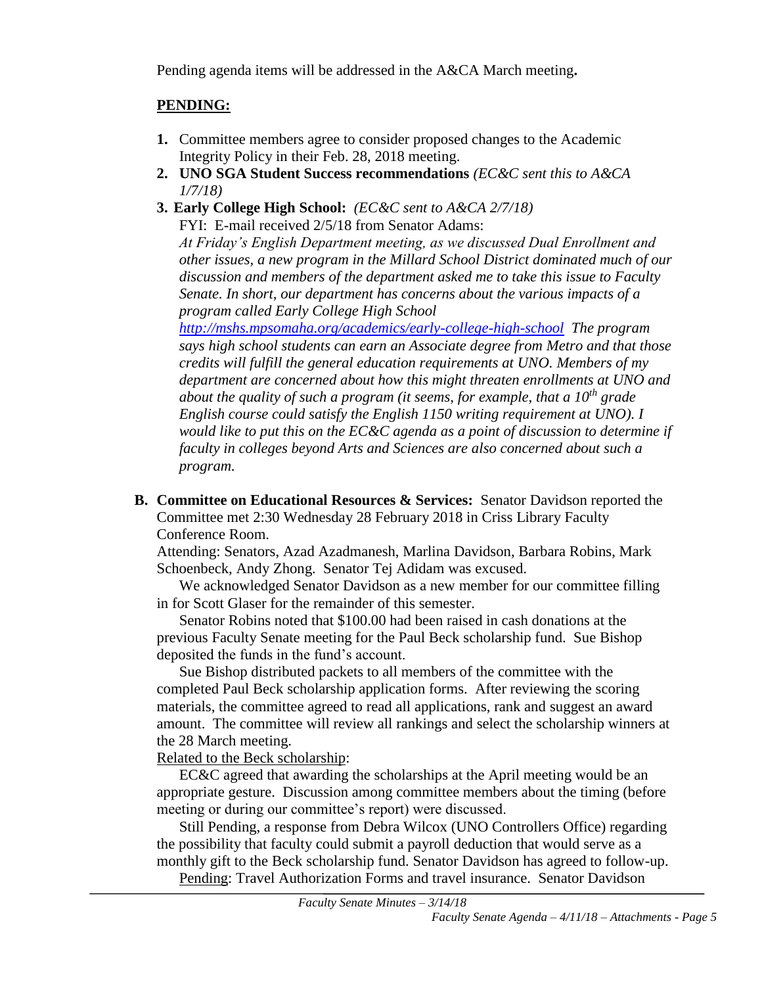Pending agenda items will be addressed in the A&CA March meeting**.**

#### **PENDING:**

- **1.** Committee members agree to consider proposed changes to the Academic Integrity Policy in their Feb. 28, 2018 meeting.
- **2. UNO SGA Student Success recommendations** *(EC&C sent this to A&CA 1/7/18)*
- **3. Early College High School:** *(EC&C sent to A&CA 2/7/18)*

FYI: E-mail received 2/5/18 from Senator Adams: *At Friday's English Department meeting, as we discussed Dual Enrollment and other issues, a new program in the Millard School District dominated much of our discussion and members of the department asked me to take this issue to Faculty Senate. In short, our department has concerns about the various impacts of a program called Early College High School* 

*<http://mshs.mpsomaha.org/academics/early-college-high-school> The program says high school students can earn an Associate degree from Metro and that those credits will fulfill the general education requirements at UNO. Members of my department are concerned about how this might threaten enrollments at UNO and about the quality of such a program (it seems, for example, that a 10th grade English course could satisfy the English 1150 writing requirement at UNO). I would like to put this on the EC&C agenda as a point of discussion to determine if faculty in colleges beyond Arts and Sciences are also concerned about such a program.*

**B. Committee on Educational Resources & Services:** Senator Davidson reported the Committee met 2:30 Wednesday 28 February 2018 in Criss Library Faculty Conference Room.

Attending: Senators, Azad Azadmanesh, Marlina Davidson, Barbara Robins, Mark Schoenbeck, Andy Zhong. Senator Tej Adidam was excused.

We acknowledged Senator Davidson as a new member for our committee filling in for Scott Glaser for the remainder of this semester.

Senator Robins noted that \$100.00 had been raised in cash donations at the previous Faculty Senate meeting for the Paul Beck scholarship fund. Sue Bishop deposited the funds in the fund's account.

Sue Bishop distributed packets to all members of the committee with the completed Paul Beck scholarship application forms. After reviewing the scoring materials, the committee agreed to read all applications, rank and suggest an award amount. The committee will review all rankings and select the scholarship winners at the 28 March meeting.

Related to the Beck scholarship:

EC&C agreed that awarding the scholarships at the April meeting would be an appropriate gesture. Discussion among committee members about the timing (before meeting or during our committee's report) were discussed.

Still Pending, a response from Debra Wilcox (UNO Controllers Office) regarding the possibility that faculty could submit a payroll deduction that would serve as a monthly gift to the Beck scholarship fund. Senator Davidson has agreed to follow-up. Pending: Travel Authorization Forms and travel insurance. Senator Davidson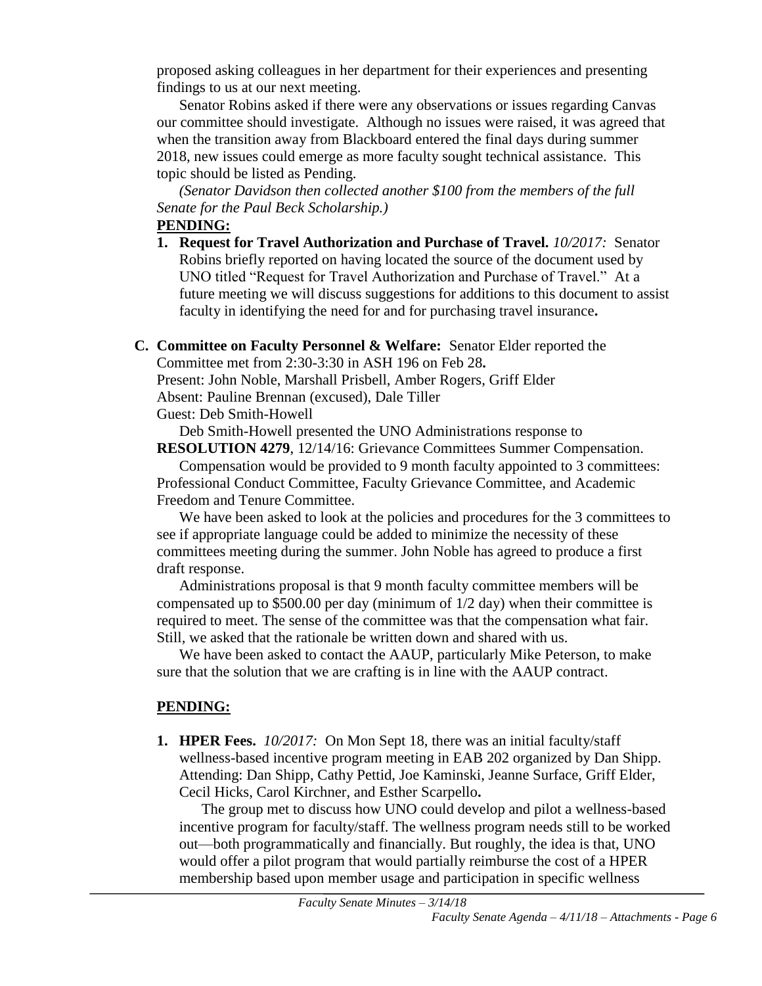proposed asking colleagues in her department for their experiences and presenting findings to us at our next meeting.

Senator Robins asked if there were any observations or issues regarding Canvas our committee should investigate. Although no issues were raised, it was agreed that when the transition away from Blackboard entered the final days during summer 2018, new issues could emerge as more faculty sought technical assistance. This topic should be listed as Pending.

*(Senator Davidson then collected another \$100 from the members of the full Senate for the Paul Beck Scholarship.)*

#### **PENDING:**

- **1. Request for Travel Authorization and Purchase of Travel.** *10/2017:* Senator Robins briefly reported on having located the source of the document used by UNO titled "Request for Travel Authorization and Purchase of Travel." At a future meeting we will discuss suggestions for additions to this document to assist faculty in identifying the need for and for purchasing travel insurance**.**
- **C. Committee on Faculty Personnel & Welfare:** Senator Elder reported the

Committee met from 2:30-3:30 in ASH 196 on Feb 28**.**

Present: John Noble, Marshall Prisbell, Amber Rogers, Griff Elder

Absent: Pauline Brennan (excused), Dale Tiller

Guest: Deb Smith-Howell

Deb Smith-Howell presented the UNO Administrations response to

**RESOLUTION 4279**, 12/14/16: Grievance Committees Summer Compensation. Compensation would be provided to 9 month faculty appointed to 3 committees: Professional Conduct Committee, Faculty Grievance Committee, and Academic Freedom and Tenure Committee.

We have been asked to look at the policies and procedures for the 3 committees to see if appropriate language could be added to minimize the necessity of these committees meeting during the summer. John Noble has agreed to produce a first draft response.

Administrations proposal is that 9 month faculty committee members will be compensated up to \$500.00 per day (minimum of 1/2 day) when their committee is required to meet. The sense of the committee was that the compensation what fair. Still, we asked that the rationale be written down and shared with us.

We have been asked to contact the AAUP, particularly Mike Peterson, to make sure that the solution that we are crafting is in line with the AAUP contract.

#### **PENDING:**

**1. HPER Fees.** *10/2017:*On Mon Sept 18, there was an initial faculty/staff wellness-based incentive program meeting in EAB 202 organized by Dan Shipp. Attending: Dan Shipp, Cathy Pettid, Joe Kaminski, Jeanne Surface, Griff Elder, Cecil Hicks, Carol Kirchner, and Esther Scarpello**.**

The group met to discuss how UNO could develop and pilot a wellness-based incentive program for faculty/staff. The wellness program needs still to be worked out—both programmatically and financially. But roughly, the idea is that, UNO would offer a pilot program that would partially reimburse the cost of a HPER membership based upon member usage and participation in specific wellness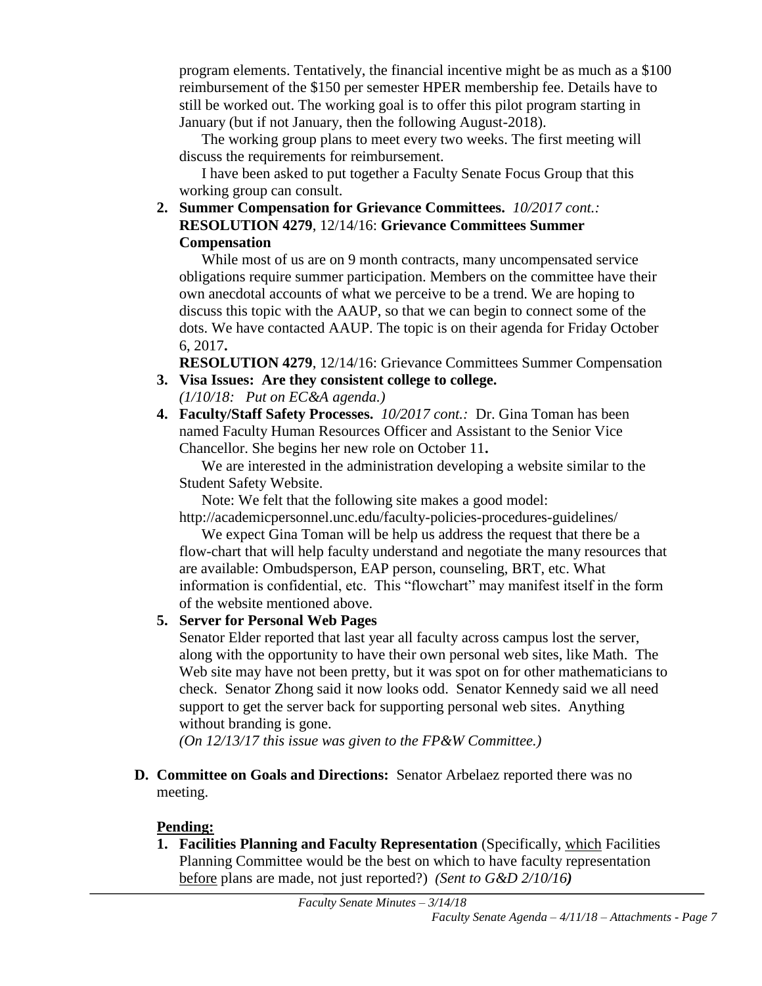program elements. Tentatively, the financial incentive might be as much as a \$100 reimbursement of the \$150 per semester HPER membership fee. Details have to still be worked out. The working goal is to offer this pilot program starting in January (but if not January, then the following August-2018).

The working group plans to meet every two weeks. The first meeting will discuss the requirements for reimbursement.

I have been asked to put together a Faculty Senate Focus Group that this working group can consult.

**2. Summer Compensation for Grievance Committees.** *10/2017 cont.:* **RESOLUTION 4279**, 12/14/16: **Grievance Committees Summer Compensation**

While most of us are on 9 month contracts, many uncompensated service obligations require summer participation. Members on the committee have their own anecdotal accounts of what we perceive to be a trend. We are hoping to discuss this topic with the AAUP, so that we can begin to connect some of the dots. We have contacted AAUP. The topic is on their agenda for Friday October 6, 2017**.**

**RESOLUTION 4279**, 12/14/16: Grievance Committees Summer Compensation

- **3. Visa Issues: Are they consistent college to college.** *(1/10/18: Put on EC&A agenda.)*
- **4. Faculty/Staff Safety Processes.** *10/2017 cont.:* Dr. Gina Toman has been named Faculty Human Resources Officer and Assistant to the Senior Vice Chancellor. She begins her new role on October 11**.**

We are interested in the administration developing a website similar to the Student Safety Website.

Note: We felt that the following site makes a good model:

http://academicpersonnel.unc.edu/faculty-policies-procedures-guidelines/

We expect Gina Toman will be help us address the request that there be a flow-chart that will help faculty understand and negotiate the many resources that are available: Ombudsperson, EAP person, counseling, BRT, etc. What information is confidential, etc. This "flowchart" may manifest itself in the form of the website mentioned above.

#### **5. Server for Personal Web Pages**

Senator Elder reported that last year all faculty across campus lost the server, along with the opportunity to have their own personal web sites, like Math. The Web site may have not been pretty, but it was spot on for other mathematicians to check. Senator Zhong said it now looks odd. Senator Kennedy said we all need support to get the server back for supporting personal web sites. Anything without branding is gone.

*(On 12/13/17 this issue was given to the FP&W Committee.)*

**D. Committee on Goals and Directions:** Senator Arbelaez reported there was no meeting.

#### **Pending:**

**1. Facilities Planning and Faculty Representation** (Specifically, which Facilities Planning Committee would be the best on which to have faculty representation before plans are made, not just reported?) *(Sent to G&D 2/10/16)*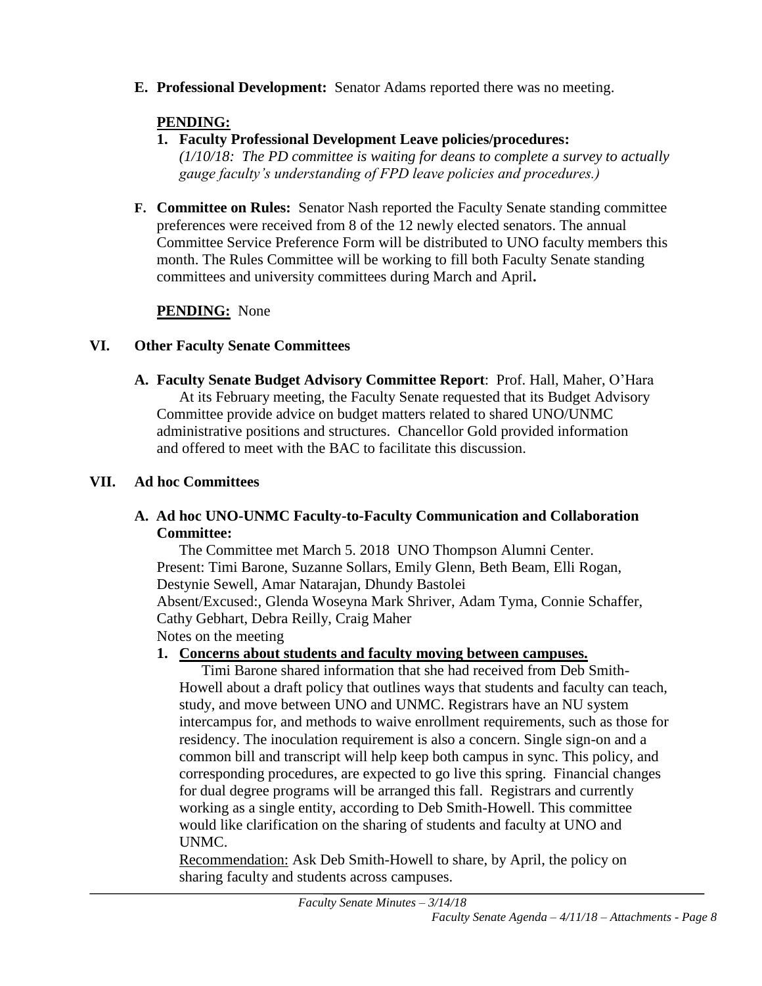**E. Professional Development:** Senator Adams reported there was no meeting.

### **PENDING:**

### **1. Faculty Professional Development Leave policies/procedures:**

*(1/10/18: The PD committee is waiting for deans to complete a survey to actually gauge faculty's understanding of FPD leave policies and procedures.)*

**F. Committee on Rules:** Senator Nash reported the Faculty Senate standing committee preferences were received from 8 of the 12 newly elected senators. The annual Committee Service Preference Form will be distributed to UNO faculty members this month. The Rules Committee will be working to fill both Faculty Senate standing committees and university committees during March and April**.**

## **PENDING:** None

### **VI. Other Faculty Senate Committees**

**A. Faculty Senate Budget Advisory Committee Report**: Prof. Hall, Maher, O'Hara At its February meeting, the Faculty Senate requested that its Budget Advisory Committee provide advice on budget matters related to shared UNO/UNMC administrative positions and structures. Chancellor Gold provided information and offered to meet with the BAC to facilitate this discussion.

### **VII. Ad hoc Committees**

#### **A. Ad hoc UNO-UNMC Faculty-to-Faculty Communication and Collaboration Committee:**

The Committee met March 5. 2018 UNO Thompson Alumni Center. Present: Timi Barone, Suzanne Sollars, Emily Glenn, Beth Beam, Elli Rogan, Destynie Sewell, Amar Natarajan, Dhundy Bastolei Absent/Excused:, Glenda Woseyna Mark Shriver, Adam Tyma, Connie Schaffer, Cathy Gebhart, Debra Reilly, Craig Maher Notes on the meeting

#### **1. Concerns about students and faculty moving between campuses.**

Timi Barone shared information that she had received from Deb Smith-Howell about a draft policy that outlines ways that students and faculty can teach, study, and move between UNO and UNMC. Registrars have an NU system intercampus for, and methods to waive enrollment requirements, such as those for residency. The inoculation requirement is also a concern. Single sign-on and a common bill and transcript will help keep both campus in sync. This policy, and corresponding procedures, are expected to go live this spring. Financial changes for dual degree programs will be arranged this fall. Registrars and currently working as a single entity, according to Deb Smith-Howell. This committee would like clarification on the sharing of students and faculty at UNO and UNMC.

Recommendation: Ask Deb Smith-Howell to share, by April, the policy on sharing faculty and students across campuses.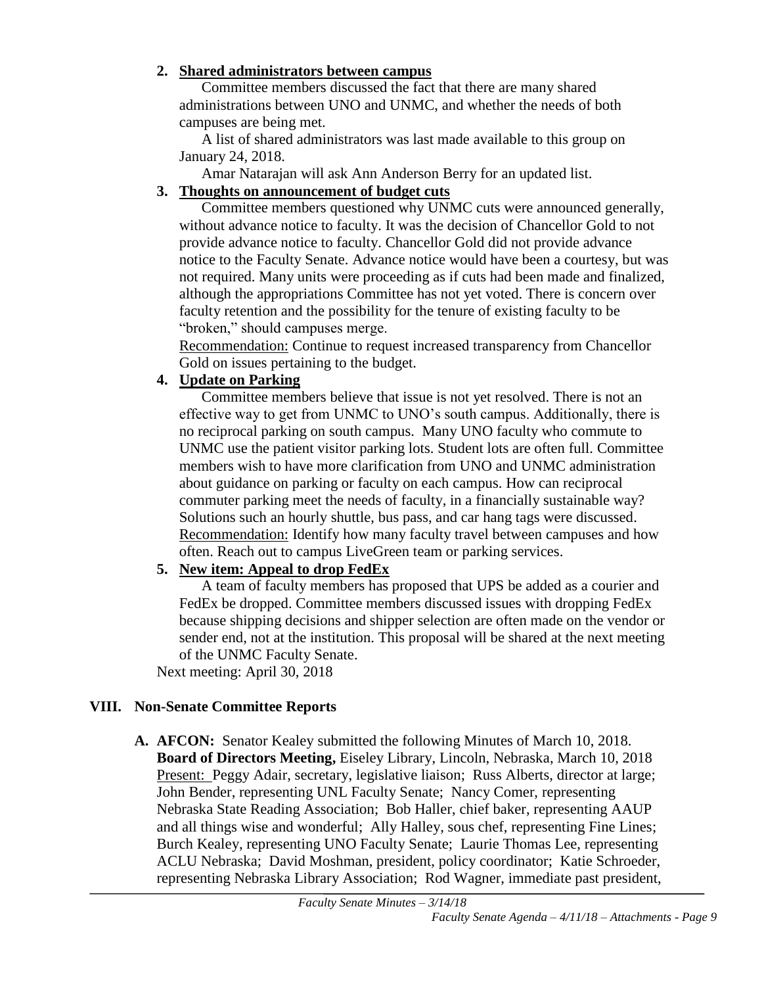#### **2. Shared administrators between campus**

Committee members discussed the fact that there are many shared administrations between UNO and UNMC, and whether the needs of both campuses are being met.

A list of shared administrators was last made available to this group on January 24, 2018.

Amar Natarajan will ask Ann Anderson Berry for an updated list.

### **3. Thoughts on announcement of budget cuts**

Committee members questioned why UNMC cuts were announced generally, without advance notice to faculty. It was the decision of Chancellor Gold to not provide advance notice to faculty. Chancellor Gold did not provide advance notice to the Faculty Senate. Advance notice would have been a courtesy, but was not required. Many units were proceeding as if cuts had been made and finalized, although the appropriations Committee has not yet voted. There is concern over faculty retention and the possibility for the tenure of existing faculty to be "broken," should campuses merge.

Recommendation: Continue to request increased transparency from Chancellor Gold on issues pertaining to the budget.

#### **4. Update on Parking**

Committee members believe that issue is not yet resolved. There is not an effective way to get from UNMC to UNO's south campus. Additionally, there is no reciprocal parking on south campus. Many UNO faculty who commute to UNMC use the patient visitor parking lots. Student lots are often full. Committee members wish to have more clarification from UNO and UNMC administration about guidance on parking or faculty on each campus. How can reciprocal commuter parking meet the needs of faculty, in a financially sustainable way? Solutions such an hourly shuttle, bus pass, and car hang tags were discussed. Recommendation: Identify how many faculty travel between campuses and how often. Reach out to campus LiveGreen team or parking services.

#### **5. New item: Appeal to drop FedEx**

A team of faculty members has proposed that UPS be added as a courier and FedEx be dropped. Committee members discussed issues with dropping FedEx because shipping decisions and shipper selection are often made on the vendor or sender end, not at the institution. This proposal will be shared at the next meeting of the UNMC Faculty Senate.

Next meeting: April 30, 2018

### **VIII. Non-Senate Committee Reports**

**A. AFCON:** Senator Kealey submitted the following Minutes of March 10, 2018. **Board of Directors Meeting,** Eiseley Library, Lincoln, Nebraska, March 10, 2018 Present: Peggy Adair, secretary, legislative liaison; Russ Alberts, director at large; John Bender, representing UNL Faculty Senate; Nancy Comer, representing Nebraska State Reading Association; Bob Haller, chief baker, representing AAUP and all things wise and wonderful; Ally Halley, sous chef, representing Fine Lines; Burch Kealey, representing UNO Faculty Senate; Laurie Thomas Lee, representing ACLU Nebraska; David Moshman, president, policy coordinator; Katie Schroeder, representing Nebraska Library Association; Rod Wagner, immediate past president,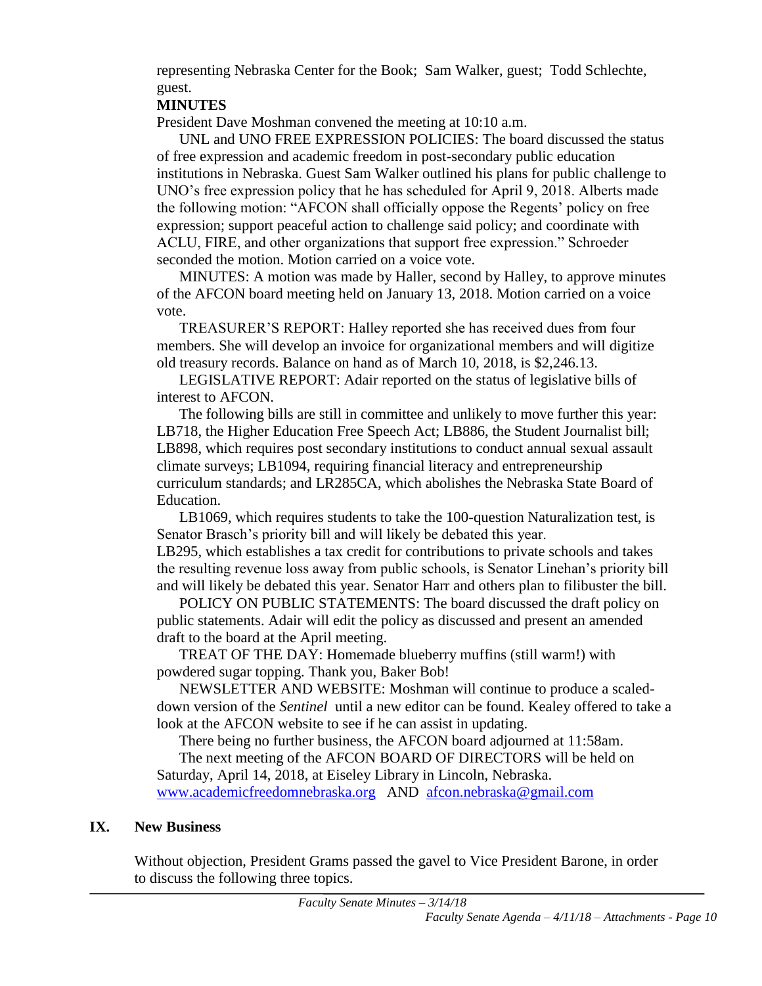representing Nebraska Center for the Book; Sam Walker, guest; Todd Schlechte, guest.

#### **MINUTES**

President Dave Moshman convened the meeting at 10:10 a.m.

UNL and UNO FREE EXPRESSION POLICIES: The board discussed the status of free expression and academic freedom in post-secondary public education institutions in Nebraska. Guest Sam Walker outlined his plans for public challenge to UNO's free expression policy that he has scheduled for April 9, 2018. Alberts made the following motion: "AFCON shall officially oppose the Regents' policy on free expression; support peaceful action to challenge said policy; and coordinate with ACLU, FIRE, and other organizations that support free expression." Schroeder seconded the motion. Motion carried on a voice vote.

MINUTES: A motion was made by Haller, second by Halley, to approve minutes of the AFCON board meeting held on January 13, 2018. Motion carried on a voice vote.

TREASURER'S REPORT: Halley reported she has received dues from four members. She will develop an invoice for organizational members and will digitize old treasury records. Balance on hand as of March 10, 2018, is \$2,246.13.

LEGISLATIVE REPORT: Adair reported on the status of legislative bills of interest to AFCON.

The following bills are still in committee and unlikely to move further this year: LB718, the Higher Education Free Speech Act; LB886, the Student Journalist bill; LB898, which requires post secondary institutions to conduct annual sexual assault climate surveys; LB1094, requiring financial literacy and entrepreneurship curriculum standards; and LR285CA, which abolishes the Nebraska State Board of Education.

LB1069, which requires students to take the 100-question Naturalization test, is Senator Brasch's priority bill and will likely be debated this year.

LB295, which establishes a tax credit for contributions to private schools and takes the resulting revenue loss away from public schools, is Senator Linehan's priority bill and will likely be debated this year. Senator Harr and others plan to filibuster the bill.

POLICY ON PUBLIC STATEMENTS: The board discussed the draft policy on public statements. Adair will edit the policy as discussed and present an amended draft to the board at the April meeting.

TREAT OF THE DAY: Homemade blueberry muffins (still warm!) with powdered sugar topping. Thank you, Baker Bob!

NEWSLETTER AND WEBSITE: Moshman will continue to produce a scaleddown version of the *Sentinel* until a new editor can be found. Kealey offered to take a look at the AFCON website to see if he can assist in updating.

There being no further business, the AFCON board adjourned at 11:58am.

The next meeting of the AFCON BOARD OF DIRECTORS will be held on Saturday, April 14, 2018, at Eiseley Library in Lincoln, Nebraska.

[www.academicfreedomnebraska.org](http://www.academicfreedomnebraska.org/) AND [afcon.nebraska@gmail.com](mailto:afcon.nebraska@gmail.com)

#### **IX. New Business**

Without objection, President Grams passed the gavel to Vice President Barone, in order to discuss the following three topics.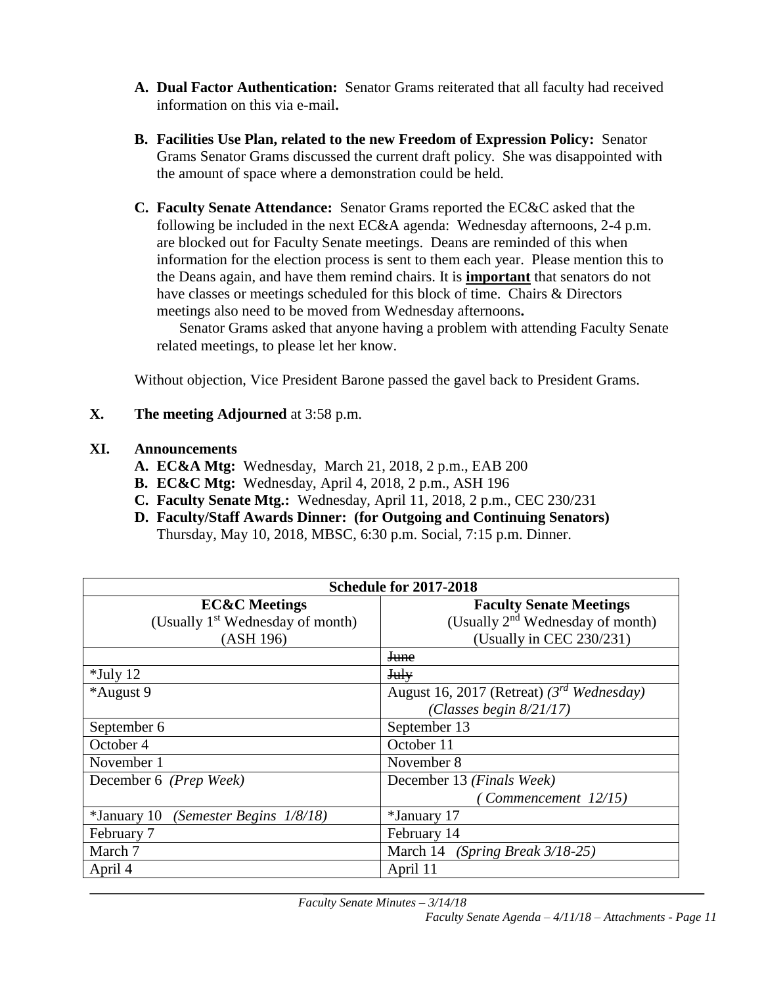- **A. Dual Factor Authentication:** Senator Grams reiterated that all faculty had received information on this via e-mail**.**
- **B. Facilities Use Plan, related to the new Freedom of Expression Policy:** Senator Grams Senator Grams discussed the current draft policy. She was disappointed with the amount of space where a demonstration could be held.
- **C. Faculty Senate Attendance:** Senator Grams reported the EC&C asked that the following be included in the next EC&A agenda: Wednesday afternoons, 2-4 p.m. are blocked out for Faculty Senate meetings. Deans are reminded of this when information for the election process is sent to them each year. Please mention this to the Deans again, and have them remind chairs. It is **important** that senators do not have classes or meetings scheduled for this block of time. Chairs & Directors meetings also need to be moved from Wednesday afternoons**.**

Senator Grams asked that anyone having a problem with attending Faculty Senate related meetings, to please let her know.

Without objection, Vice President Barone passed the gavel back to President Grams.

**X. The meeting Adjourned** at 3:58 p.m.

#### **XI. Announcements**

- **A. EC&A Mtg:** Wednesday, March 21, 2018, 2 p.m., EAB 200
- **B. EC&C Mtg:** Wednesday, April 4, 2018, 2 p.m., ASH 196
- **C. Faculty Senate Mtg.:** Wednesday, April 11, 2018, 2 p.m., CEC 230/231
- **D. Faculty/Staff Awards Dinner: (for Outgoing and Continuing Senators)**  Thursday, May 10, 2018, MBSC, 6:30 p.m. Social, 7:15 p.m. Dinner.

| <b>Schedule for 2017-2018</b>                     |                                                |  |  |  |  |
|---------------------------------------------------|------------------------------------------------|--|--|--|--|
| <b>EC&amp;C</b> Meetings                          | <b>Faculty Senate Meetings</b>                 |  |  |  |  |
| (Usually 1 <sup>st</sup> Wednesday of month)      | (Usually 2 <sup>nd</sup> Wednesday of month)   |  |  |  |  |
| (ASH 196)                                         | (Usually in CEC 230/231)                       |  |  |  |  |
|                                                   | <b>June</b>                                    |  |  |  |  |
| $*$ July 12                                       | <b>July</b>                                    |  |  |  |  |
| *August 9                                         | August 16, 2017 (Retreat) $(3^{rd}$ Wednesday) |  |  |  |  |
|                                                   | (Classes begin $8/21/17$ )                     |  |  |  |  |
| September 6                                       | September 13                                   |  |  |  |  |
| October 4                                         | October 11                                     |  |  |  |  |
| November 1                                        | November 8                                     |  |  |  |  |
| December 6 (Prep Week)                            | December 13 (Finals Week)                      |  |  |  |  |
|                                                   | (Comment 12/15)                                |  |  |  |  |
| (Semester Begins $1/8/18$ )<br><i>*January</i> 10 | *January 17                                    |  |  |  |  |
| February 7                                        | February 14                                    |  |  |  |  |
| March 7                                           | March 14 (Spring Break 3/18-25)                |  |  |  |  |
| April 4                                           | April 11                                       |  |  |  |  |